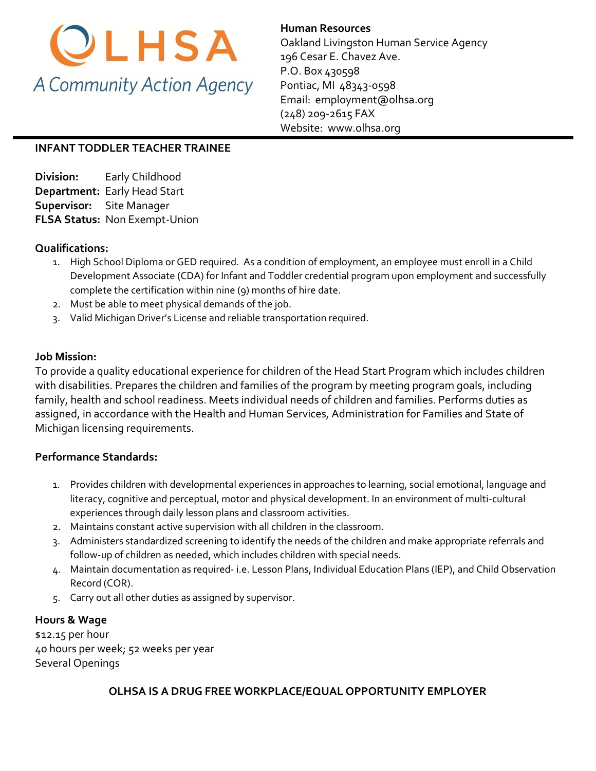

**Human Resources** 

Oakland Livingston Human Service Agency 196 Cesar E. Chavez Ave. P.O. Box 430598 Pontiac, MI 48343-0598 Email: [employment@olhsa.org](mailto:Careers@olhsa.org) (248) 209-2615 FAX Website: www.olhsa.org

## **INFANT TODDLER TEACHER TRAINEE**

**Division:** Early Childhood **Department:** Early Head Start **Supervisor:** Site Manager **FLSA Status:** Non Exempt-Union

## **Qualifications:**

- 1. High School Diploma or GED required. As a condition of employment, an employee must enroll in a Child Development Associate (CDA) for Infant and Toddler credential program upon employment and successfully complete the certification within nine (9) months of hire date.
- 2. Must be able to meet physical demands of the job.
- 3. Valid Michigan Driver's License and reliable transportation required.

## **Job Mission:**

To provide a quality educational experience for children of the Head Start Program which includes children with disabilities. Prepares the children and families of the program by meeting program goals, including family, health and school readiness. Meets individual needs of children and families. Performs duties as assigned, in accordance with the Health and Human Services, Administration for Families and State of Michigan licensing requirements.

#### **Performance Standards:**

- 1. Provides children with developmental experiences in approaches to learning, social emotional, language and literacy, cognitive and perceptual, motor and physical development. In an environment of multi-cultural experiences through daily lesson plans and classroom activities.
- 2. Maintains constant active supervision with all children in the classroom.
- 3. Administers standardized screening to identify the needs of the children and make appropriate referrals and follow-up of children as needed, which includes children with special needs.
- 4. Maintain documentation as required- i.e. Lesson Plans, Individual Education Plans (IEP), and Child Observation Record (COR).
- 5. Carry out all other duties as assigned by supervisor.

# **Hours & Wage**

\$12.15 per hour 40 hours per week; 52 weeks per year Several Openings

#### **OLHSA IS A DRUG FREE WORKPLACE/EQUAL OPPORTUNITY EMPLOYER**